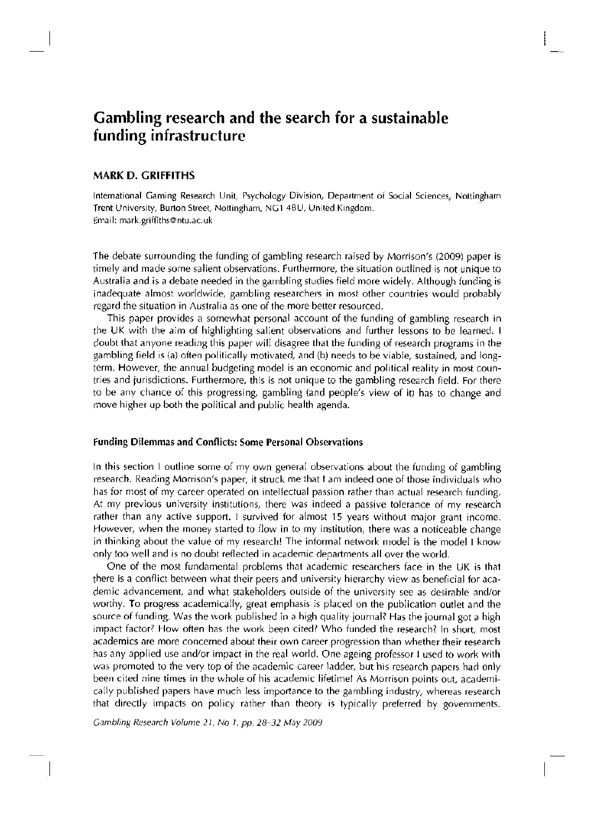# Gambling research and the search for a sustainable funding infrastructure

# **MARK D. GRIFFITHS**

International Gaming Research Unit, Psychology Division, Department of Social Sciences, Nottingham Trent University, Burton Street, Nottingham, NCI 4BU, United Kingdom. Email: [mark.griffiths@ntu.ac.uk](mailto:mark.griffiths@ntu.ac.uk) 

**The** debate surrounding the funding of gambling research raised by Morrison's (2009) paper is timely and made some **salient** observations. **Furthermore,** the situation outlined is not unique to Australia and is a debate needed in the gambling studies field more widely. **Although funding** is inadequate almost worldwide, **gambling** researchers in most other countries would probably regard the situation in Australia as one of the more better resourced.

This paper provides a somewhat personal account of the funding of gambling research in the **UK** with **the** aim of **highlighting** salient observations and further lessons to be learned. **I doubt** that anyone reading this paper will disagree that the funding of research programs **in the gambling** field is (a) often politically motivated, and (b) needs to be viable, sustained, and longterm. However, the annual budgeting model is an economic and political reality in most countries and jurisdictions. Furthermore, this is not unique to the **gambling** research field. For **there**  to be any chance of this progressing, gambling (and people's view of it) has to change and move higher up both the political **and public** health agenda.

### **Funding Dilemmas and Conflicts: Some Personal Observations**

In this section I outline some of my own general observations about the funding of gambling research. **Reading** Morrison's paper, it struck me that I am indeed one of those individuals who has for most of my career operated on intellectual passion rather than actual research funding. At my previous university institutions, there was indeed a passive tolerance of my research rather than any active support. I survived for almost 15 years without major grant income. However, when the money started to flow in to my institution, there was a noticeable change in thinking about the value of my research! The informal network model is the model I know only too well and is no doubt reflected in academic departments all over the world.

One of the most fundamental problems that academic researchers face in the UK is that there is a conflict between what their peers and university hierarchy view as beneficial for academic advancement, and what stakeholders outside of the university see as desirable and/or worthy. To progress academically, great emphasis is placed on the publication **outlet and the**  source of funding. Was the work published in a **high quality journal?** Has the journal got a high impact factor? How often has the work been cited? Who funded the research? In short, most academics are more concerned **about their** own career progression than whether their research has any applied use and/or impact in the real world. One ageing professor I used to work with was promoted to the very top of the academic career ladder, but his research papers had **only**  been cited nine times in the whole of his academic lifetime! As Morrison points out, academically published papers have much less importance to the gambling industry, whereas research **that** directly impacts on policy **rather** than theory is typically preferred by governments.

Gambling Research Volume 21, No 1, pp. 28-32 May 2009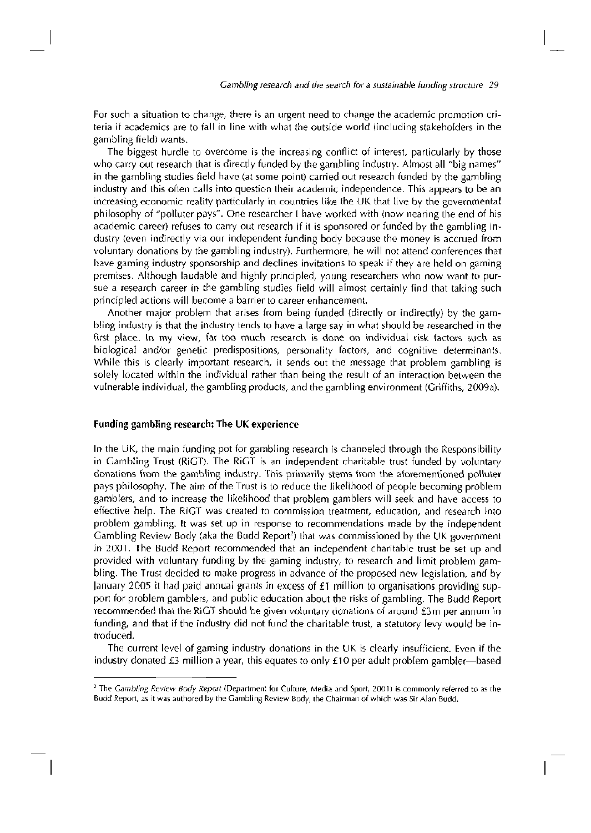For such a situation to change, there is an urgent need to change the academic promotion criteria if academics are to fall in line with what the outside world (including stakeholders in the gambling field) wants.

The biggest hurdle to overcome is the increasing conflict of interest, particularly by those who carry out research that is directly funded by the gambling industry. Almost all "big names" in the gambling studies field have (at some point) carried out research funded by the gambling industry and this often calls into question their academic independence. This appears to be an increasing economic reality particularly in countries like the UK that live by the governmental philosophy of "polluter pays". One researcher I have worked with (now nearing the end of his academic career) refuses to carry out research if it is sponsored or funded by the gambling industry (even indirectly via our independent funding body because the money is accrued from voluntary donations by the gambling industry). Furthermore, he will not attend conferences that have gaming industry sponsorship and declines invitations to speak if they are held on gaming premises. Although laudable and highly principled, young researchers who now want to pursue a research career in the gambling studies field will almost certainly find that taking such principled actions will become a barrier to career enhancement.

Another major problem that arises from being funded (directly or indirectly) by the gambling industry is that the industry tends to have a large say in what should be researched in the first place. In my view, far too much research is done on individual risk factors such as biological and/or genetic predispositions, personality factors, and cognitive determinants. While this is clearly important research, it sends out the message that problem gambling is solely located within the individual rather than being the result of an interaction between the vulnerable individual, the gambling products, and the gambling environment (Griffiths, 2009a).

#### Funding gambling research: The UK experience

In the UK, the main funding pot for gambling research is channeled through the Responsibility in Gambling Trust (RiGT). The RiGT is an independent charitable trust funded by voluntary donations from the gambling industry. This primarily stems from the aforementioned polluter pays philosophy. The aim of the Trust is to reduce the likelihood of people becoming problem gamblers, and to increase the likelihood that problem gamblers will seek and have access to effective help. The RiGT was created to commission treatment, education, and research into problem gambling. It was set up in response to recommendations made by the independent Gambling Review Body (aka the Budd Report<sup>2</sup>) that was commissioned by the UK government in 2001. The Budd Report recommended that an independent charitable trust be set up and provided with voluntary funding by the gaming industry, to research and limit problem gambling. The Trust decided to make progress in advance of the proposed new legislation, and by January 2005 it had paid annual grants in excess of £1 million to organisations providing support for problem gamblers, and public education about the risks of gambling. The Budd Report recommended that the RiGT should be given voluntary donations of around £3m per annum in funding, and that if the industry did not fund the charitable trust, a statutory levy would be introduced.

The current level of gaming industry donations in the UK is clearly insufficient. Even if the industry donated £3 million a year, this equates to only  $£10$  per adult problem gambler—based

<sup>&</sup>lt;sup>2</sup> The Gambling Review Body Report (Department for Culture, Media and Sport, 2001) is commonly referred to as the Budd Report, as it was authored by the Gambling Review Body, the Chairman of which was Sir Alan Budd.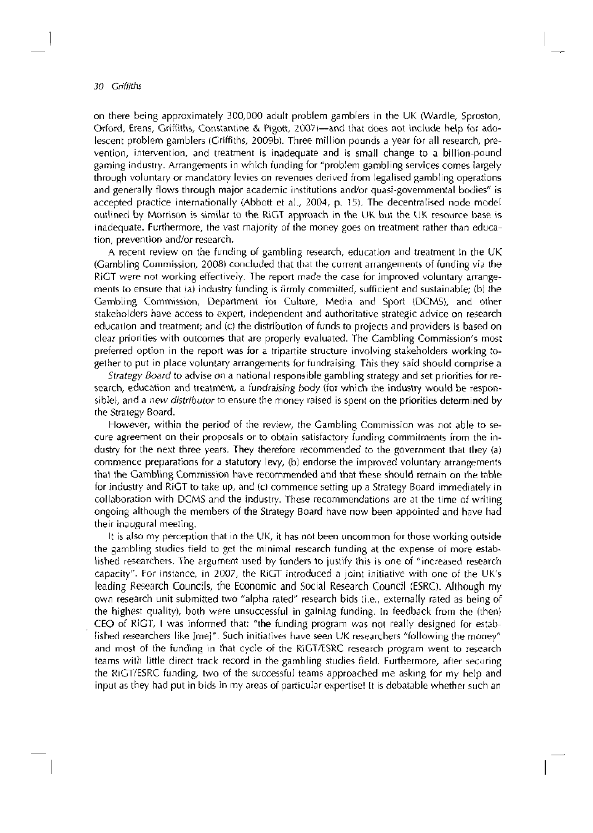# 30 Griffiths

on there being approximately 300,000 adult problem gamblers in the UK (Wardle, Sproston, Orford, Erens, Griffiths, Constantine & Pigott, 2007)—and that does not include help for adolescent problem gamblers (Griffiths, 2009b). Three million pounds a year for all research, prevention, intervention, and treatment is inadequate and is small change to a billion-pound gaming industry. Arrangements in which funding for "problem gambling services comes largely through voluntary or mandatory levies on revenues derived from legalised gambling operations and generally flows through major academic institutions and/or quasi-governmental bodies" is accepted practice internationally (Abbott et al., 2004, p. 15). The decentralised node model outlined by Morrison is similar to the RiGT approach in the UK but the UK resource base is inadequate. Furthermore, the vast majority of the money goes on treatment rather than education, prevention and/or research.

A recent review on the funding of gambling research, education and treatment in the UK (Gambling Commission, 2008) concluded that that the current arrangements of funding via the RiGT were not working effectively. The report made the case for improved voluntary arrangements to ensure that (a) industry funding is firmly committed, sufficient and sustainable; (b) the Gambling Commission, Department for Culture, Media and Sport (DCMS), and other stakeholders have access to expert, independent and authoritative strategic advice on research education and treatment; and (c) the distribution of funds to projects and providers is based on clear priorities with outcomes that are properly evaluated. The Gambling Commission's most preferred option in the report was for a tripartite structure involving stakeholders working together to put in place voluntary arrangements for fundraising. This they said should comprise a

Strategy Board to advise on a national responsible gambling strategy and set priorities for research, education and treatment, a fundraising body (for which the industry would be responsible), and a new distributor to ensure the money raised is spent on the priorities determined by the Strategy Board.

However, within the period of the review, the Gambling Commission was not able to secure agreement on their proposals or to obtain satisfactory funding commitments from the industry for the next three years. They therefore recommended to the government that they (a) commence preparations for a statutory levy, (b) endorse the improved voluntary arrangements that the Gambling Commission have recommended and that these should remain on the table for industry and RiGT to take up, and (c) commence setting up a Strategy Board immediately in collaboration with DCMS and the industry. These recommendations are at the time of writing ongoing although the members of the Strategy Board have now been appointed and have had their inaugural meeting.

It is also my perception that in the UK, it has not been uncommon for those working outside the gambling studies field to get the minimal research funding at the expense of more established researchers. The argument used by funders to justify this is one of "increased research capacity". For instance, in 2007, the RiGT introduced a joint initiative with one of the UK's leading Research Councils, the Economic and Social Research Council (ESRC). Although my own research unit submitted two "alpha rated" research bids (i.e., externally rated as being of the highest quality), both were unsuccessful in gaining funding. In feedback from the (then) CEO of RiGT, I was informed that: "the funding program was not really designed for established researchers like [me]". Such initiatives have seen UK researchers "following the money" and most of the funding in that cycle of the RiGT/ESRC research program went to research teams with little direct track record in the gambling studies field. Furthermore, after securing the RiGT/ESRC funding, two of the successful teams approached me asking for my help and input as they had put in bids in my areas of particular expertise! It is debatable whether such an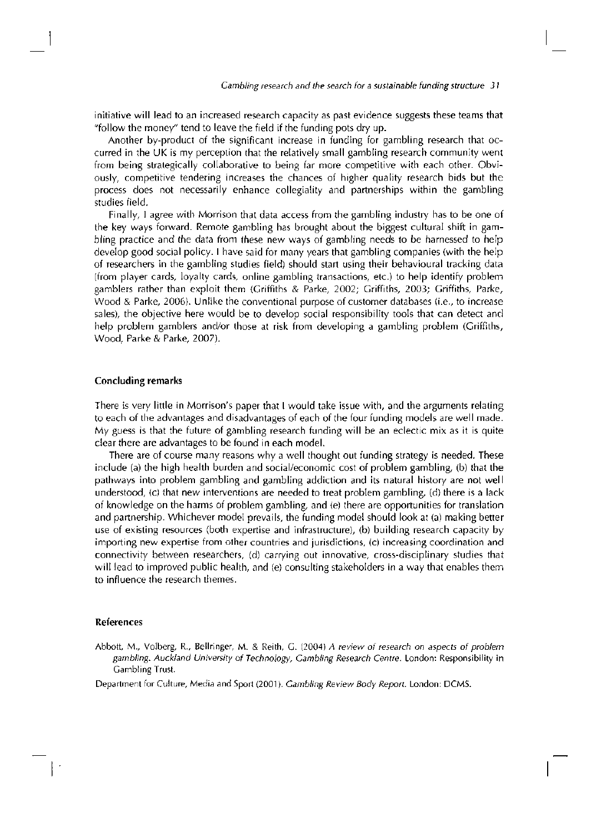initiative will lead to an increased research capacity as past evidence suggests these teams that "follow the money" tend to leave the field if the funding pots dry up.

Another by-product of the significant increase in funding for gambling research that occurred in the UK is my perception that the relatively small gambling research community went from being strategically collaborative to being far more competitive with each other. Obviously, competitive tendering increases the chances of higher quality research bids but the process does not necessarily enhance collegiality and partnerships within the gambling studies field.

Finally, I agree with Morrison that data access from the gambling industry has to be one of the key ways forward. Remote gambling has brought about the biggest cultural shift in gambling practice and the data from these new ways of gambling needs to be harnessed to help develop good social policy. I have said for many years that gambling companies (with the help of researchers in the gambling studies field) should start using their behavioural tracking data (from player cards, loyalty cards, online gambling transactions, etc.) to help identify problem gamblers rather than exploit them (Griffiths & Parke, 2002; Griffiths, 2003; Griffiths, Parke, Wood & Parke, 2006). Unlike the conventional purpose of customer databases (i.e., to increase sales), the objective here would be to develop social responsibility tools that can detect and help problem gamblers and/or those at risk from developing a gambling problem (Griffiths, Wood, Parke & Parke, 2007).

### Concluding remarks

There is very little in Morrison's paper that I would take issue with, and the arguments relating to each of the advantages and disadvantages of each of the four funding models are well made. My guess is that the future of gambling research funding will be an eclectic mix as it is quite clear there are advantages to be found in each model.

There are of course many reasons why a well thought out funding strategy is needed. These include (a) the high health burden and social/economic cost of problem gambling, (b) that the pathways into problem gambling and gambling addiction and its natural history are not well understood, (c) that new interventions are needed to treat problem gambling, (d) there is a lack of knowledge on the harms of problem gambling, and (e) there are opportunities for translation and partnership. Whichever model prevails, the funding model should look at (a) making better use of existing resources (both expertise and infrastructure), (b) building research capacity by importing new expertise from other countries and jurisdictions, (c) increasing coordination and connectivity between researchers, (d) carrying out innovative, cross-disciplinary studies that will lead to improved public health, and (e) consulting stakeholders in a way that enables them to influence the research themes.

#### References

Abbott, M., Volberg, R., Bellringer, M. & Reith, C. (2004) A review of research on aspects of problem gambling. Auckland University of Technology, Gambling Research Centre. London: Responsibility in Gambling Trust.

Department for Culture, Media and Sport (2001). Gambling Review Body Report. London: DCMS.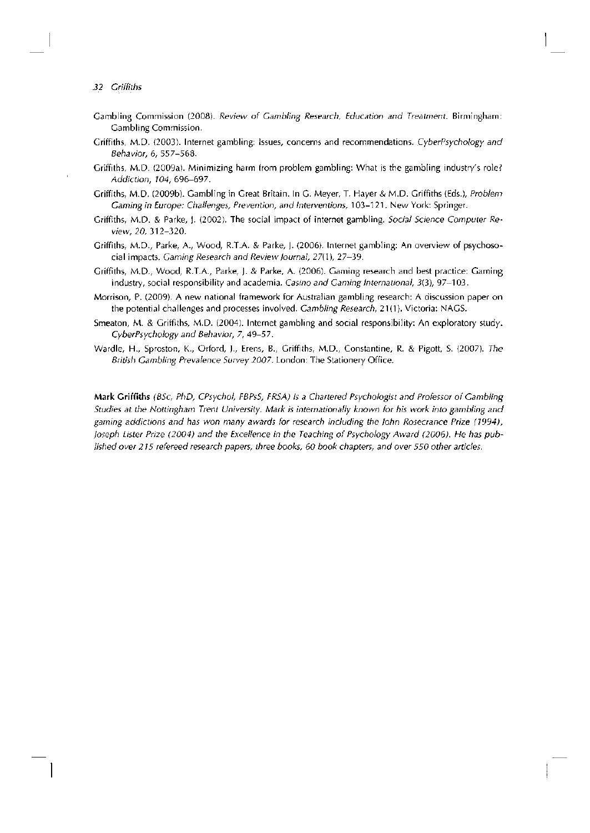## 32 Griffiths

- Gambling Commission (2008). Review of Gambling Research, Education and Treatment. Birmingham: Gambling Commission.
- Griffiths, M.D. (2003). Internet gambling: Issues, concerns and recommendations. CyberPsychology and Behavior, 6, 557-568.
- Griffiths, M.D. (2009a). Minimizing harm from problem gambling: What is the gambling industry's role? Addiction, 104, 696-697.
- Griffiths, M.D. (2009b). Gambling in Great Britain. In G. Meyer, T. Hayer & M.D. Griffiths (Eds.), Problem Gaming in Europe: Challenges, Prevention, and Interventions, 103-121. New York: Springer.
- Griffiths, M.D. & Parke, J. (2002). The social impact of internet gambling. Social Science Computer Review, 20, 312-320.
- Griffiths, M.D., Parke, A., Wood, R.T.A. & Parke, J. (2006). Internet gambling: An overview of psychosocial impacts. Gaming Research and Review Journal, 27(\), 27-39.
- Griffiths, M.D., Wood, R.T.A., Parke, ). & Parke, A. (2006). Gaming research and best practice: Gaming industry, social responsibility and academia. Casino and Gaming International, 3(3), 97-103.
- Morrison, P. (2009). A new national framework for Australian gambling research: A discussion paper on the potential challenges and processes involved. Gambling Research, 21(1). Victoria: NAGS.
- Smeaton, M. & Griffiths, M.D. (2004). Internet gambling and social responsibility: An exploratory study. CyberPsychology and Behavior, 7, 49-57.
- Wardle, H., Sproston, K., Orford, )., Erens, B., Griffiths, M.D., Constantine, R. & Pigott, S. (2007). The British Gambling Prevalence Survey 2007. London: The Stationery Office.

**Mark Griffiths** (BSc, PhD, CPsychol, FBPsS, FRSA) is a Chartered Psychologist and Professor of Gambling Studies at the Nottingham Trent University. Mark is internationally known for his work into gambling and gaming addictions and has won many awards for research including the John Rosecrance Prize (1994), Joseph Lister Prize (2004) and the Excellence in the Teaching of Psychology Award (2006). He has published over 215 refereed research papers, three books, 60 book chapters, and over 550 other articles.